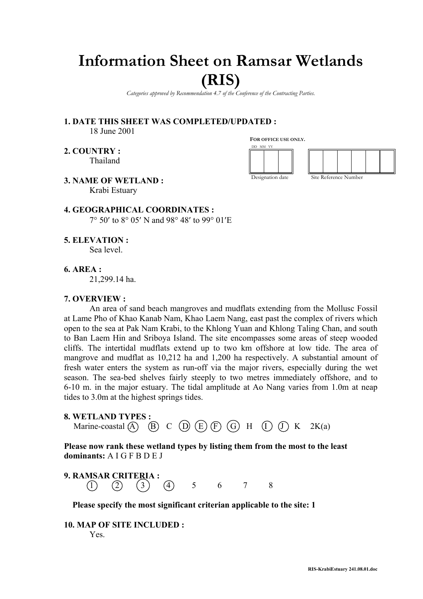# **Information Sheet on Ramsar Wetlands**

# **(RIS)**

*Categories approved by Recommendation 4.7 of the Conference of the Contracting Parties.*

**1. DATE THIS SHEET WAS COMPLETED/UPDATED :** 18 June 2001

**2. COUNTRY :** Thailand **FOR OFFICE USE ONLY.**





**3. NAME OF WETLAND :** Krabi Estuary

**4. GEOGRAPHICAL COORDINATES :** 7° 50′ to 8° 05′ N and 98° 48′ to 99° 01′E

**5. ELEVATION :**

Sea level.

# **6. AREA :**

21,299.14 ha.

#### **7. OVERVIEW :**

An area of sand beach mangroves and mudflats extending from the Mollusc Fossil at Lame Pho of Khao Kanab Nam, Khao Laem Nang, east past the complex of rivers which open to the sea at Pak Nam Krabi, to the Khlong Yuan and Khlong Taling Chan, and south to Ban Laem Hin and Sriboya Island. The site encompasses some areas of steep wooded cliffs. The intertidal mudflats extend up to two km offshore at low tide. The area of mangrove and mudflat as 10,212 ha and 1,200 ha respectively. A substantial amount of fresh water enters the system as run-off via the major rivers, especially during the wet season. The sea-bed shelves fairly steeply to two metres immediately offshore, and to 6-10 m. in the major estuary. The tidal amplitude at Ao Nang varies from 1.0m at neap tides to 3.0m at the highest springs tides.

**8. WETLAND TYPES :**

Marine-coastal  $\overline{A}$   $\overline{B}$   $\overline{C}$   $\overline{D}$   $\overline{E}$   $\overline{F}$   $\overline{G}$   $\overline{H}$   $\overline{I}$   $\overline{J}$   $\overline{K}$   $2K(a)$ 

**Please now rank these wetland types by listing them from the most to the least dominants:** A I G F B D E J

**9. RAMSAR CRITERIA :**  $(1)$   $(2)$   $(3)$   $(4)$  5 6 7 8

**Please specify the most significant criterian applicable to the site: 1**

**10. MAP OF SITE INCLUDED :**  Yes.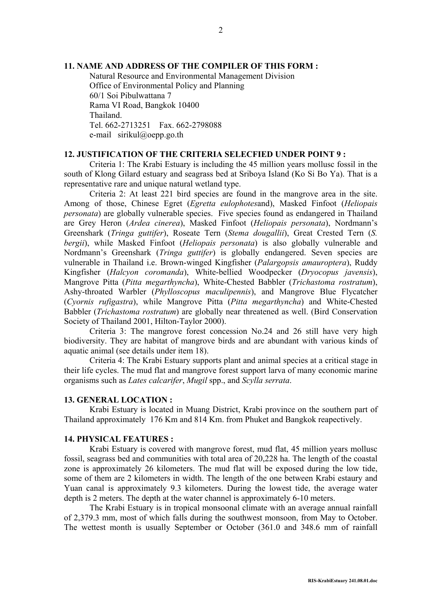# **11. NAME AND ADDRESS OF THE COMPILER OF THIS FORM :**

Natural Resource and Environmental Management Division Office of Environmental Policy and Planning 60/1 Soi Pibulwattana 7 Rama VI Road, Bangkok 10400 Thailand. Tel. 662-2713251 Fax. 662-2798088 e-mail sirikul@oepp.go.th

# **12. JUSTIFICATION OF THE CRITERIA SELECFIED UNDER POINT 9 :**

Criteria 1: The Krabi Estuary is including the 45 million years mollusc fossil in the south of Klong Gilard estuary and seagrass bed at Sriboya Island (Ko Si Bo Ya). That is a representative rare and unique natural wetland type.

Criteria 2: At least 221 bird species are found in the mangrove area in the site. Among of those, Chinese Egret (*Egretta eulophotes*and), Masked Finfoot (*Heliopais personata*) are globally vulnerable species. Five species found as endangered in Thailand are Grey Heron (*Ardea cinerea*), Masked Finfoot (*Heliopais personata*), Nordmann's Greenshark (*Tringa guttifer*), Roseate Tern (*Stema dougallii*), Great Crested Tern (*S. bergii*), while Masked Finfoot (*Heliopais personata*) is also globally vulnerable and Nordmann's Greenshark (*Tringa guttifer*) is globally endangered. Seven species are vulnerable in Thailand i.e. Brown-winged Kingfisher (*Palargopsis amauroptera*), Ruddy Kingfisher (*Halcyon coromanda*), White-bellied Woodpecker (*Dryocopus javensis*), Mangrove Pitta (*Pitta megarthyncha*), White-Chested Babbler (*Trichastoma rostratum*), Ashy-throated Warbler (*Phylloscopus maculipennis*), and Mangrove Blue Flycatcher (*Cyornis rufigastra*), while Mangrove Pitta (*Pitta megarthyncha*) and White-Chested Babbler (*Trichastoma rostratum*) are globally near threatened as well. (Bird Conservation Society of Thailand 2001, Hilton-Taylor 2000).

Criteria 3: The mangrove forest concession No.24 and 26 still have very high biodiversity. They are habitat of mangrove birds and are abundant with various kinds of aquatic animal (see details under item 18).

Criteria 4: The Krabi Estuary supports plant and animal species at a critical stage in their life cycles. The mud flat and mangrove forest support larva of many economic marine organisms such as *Lates calcarifer*, *Mugil* spp., and *Scylla serrata*.

#### **13. GENERAL LOCATION :**

Krabi Estuary is located in Muang District, Krabi province on the southern part of Thailand approximately 176 Km and 814 Km. from Phuket and Bangkok reapectively.

# **14. PHYSICAL FEATURES :**

Krabi Estuary is covered with mangrove forest, mud flat, 45 million years mollusc fossil, seagrass bed and communities with total area of 20,228 ha. The length of the coastal zone is approximately 26 kilometers. The mud flat will be exposed during the low tide, some of them are 2 kilometers in width. The length of the one between Krabi estaury and Yuan canal is approximately 9.3 kilometers. During the lowest tide, the average water depth is 2 meters. The depth at the water channel is approximately 6-10 meters.

The Krabi Estuary is in tropical monsoonal climate with an average annual rainfall of 2,379.3 mm, most of which falls during the southwest monsoon, from May to October. The wettest month is usually September or October (361.0 and 348.6 mm of rainfall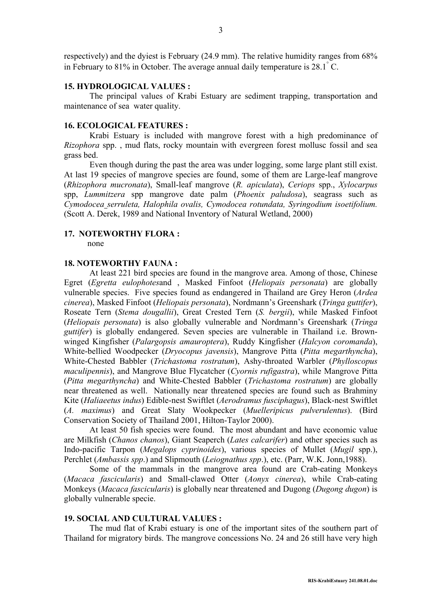respectively) and the dyiest is February (24.9 mm). The relative humidity ranges from 68% in February to 81% in October. The average annual daily temperature is  $28.1^{\circ}$  C.

#### **15. HYDROLOGICAL VALUES :**

The principal values of Krabi Estuary are sediment trapping, transportation and maintenance of sea water quality.

# **16. ECOLOGICAL FEATURES :**

Krabi Estuary is included with mangrove forest with a high predominance of *Rizophora* spp. , mud flats, rocky mountain with evergreen forest mollusc fossil and sea grass bed.

Even though during the past the area was under logging, some large plant still exist. At last 19 species of mangrove species are found, some of them are Large-leaf mangrove (*Rhizophora mucronata*), Small-leaf mangrove (*R. apiculata*), *Ceriops* spp., *Xylocarpus* spp, *Lummitzera* spp mangrove date palm (*Phoenix paludosa*), seagrass such as *Cymodocea serruleta, Halophila ovalis, Cymodocea rotundata, Syringodium isoetifolium.* (Scott A. Derek, 1989 and National Inventory of Natural Wetland, 2000)

# **17. NOTEWORTHY FLORA :**

none

# **18. NOTEWORTHY FAUNA :**

At least 221 bird species are found in the mangrove area. Among of those, Chinese Egret (*Egretta eulophotes*and , Masked Finfoot (*Heliopais personata*) are globally vulnerable species. Five species found as endangered in Thailand are Grey Heron (*Ardea cinerea*), Masked Finfoot (*Heliopais personata*), Nordmann's Greenshark (*Tringa guttifer*), Roseate Tern (*Stema dougallii*), Great Crested Tern (*S. bergii*), while Masked Finfoot (*Heliopais personata*) is also globally vulnerable and Nordmann's Greenshark (*Tringa guttifer*) is globally endangered. Seven species are vulnerable in Thailand i.e. Brownwinged Kingfisher (*Palargopsis amauroptera*), Ruddy Kingfisher (*Halcyon coromanda*), White-bellied Woodpecker (*Dryocopus javensis*), Mangrove Pitta (*Pitta megarthyncha*), White-Chested Babbler (*Trichastoma rostratum*), Ashy-throated Warbler (*Phylloscopus maculipennis*), and Mangrove Blue Flycatcher (*Cyornis rufigastra*), while Mangrove Pitta (*Pitta megarthyncha*) and White-Chested Babbler (*Trichastoma rostratum*) are globally near threatened as well. Nationally near threatened species are found such as Brahminy Kite (*Haliaeetus indus*) Edible-nest Swiftlet (*Aerodramus fusciphagus*), Black-nest Swiftlet (*A. maximus*) and Great Slaty Wookpecker (*Muelleripicus pulverulentus*). (Bird Conservation Society of Thailand 2001, Hilton-Taylor 2000).

At least 50 fish species were found. The most abundant and have economic value are Milkfish (*Chanos chanos*), Giant Seaperch (*Lates calcarifer*) and other species such as Indo-pacific Tarpon (*Megalops cyprinoides*), various species of Mullet (*Mugil* spp.), Perchlet (*Ambassis spp*.) and Slipmouth (*Leiognathus spp*.), etc. (Parr, W.K. Jonn,1988).

Some of the mammals in the mangrove area found are Crab-eating Monkeys (*Macaca fascicularis*) and Small-clawed Otter (*Aonyx cinerea*), while Crab-eating Monkeys (*Macaca fascicularis*) is globally near threatened and Dugong (*Dugong dugon*) is globally vulnerable specie.

#### **19. SOCIAL AND CULTURAL VALUES :**

The mud flat of Krabi estuary is one of the important sites of the southern part of Thailand for migratory birds. The mangrove concessions No. 24 and 26 still have very high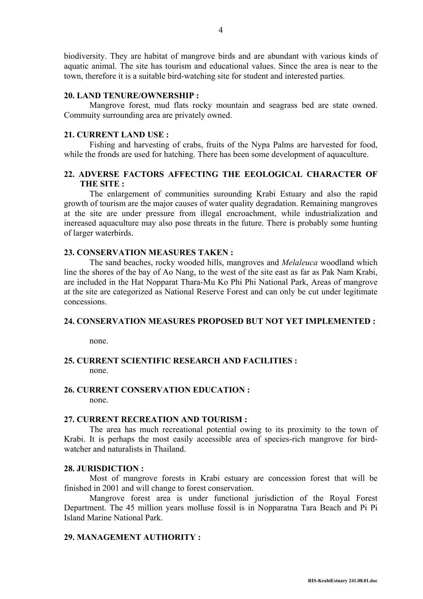biodiversity. They are habitat of mangrove birds and are abundant with various kinds of aquatic animal. The site has tourism and educational values. Since the area is near to the town, therefore it is a suitable bird-watching site for student and interested parties.

#### **20. LAND TENURE/OWNERSHIP :**

Mangrove forest, mud flats rocky mountain and seagrass bed are state owned. Commuity surrounding area are privately owned.

#### **21. CURRENT LAND USE :**

Fishing and harvesting of crabs, fruits of the Nypa Palms are harvested for food, while the fronds are used for hatching. There has been some development of aquaculture.

# **22. ADVERSE FACTORS AFFECTING THE EEOLOGICAL CHARACTER OF THE SITE :**

The enlargement of communities surounding Krabi Estuary and also the rapid growth of tourism are the major causes of water quality degradation. Remaining mangroves at the site are under pressure from illegal encroachment, while industrialization and inereased aquaculture may also pose threats in the future. There is probably some hunting of larger waterbirds.

# **23. CONSERVATION MEASURES TAKEN :**

The sand beaches, rocky wooded hills, mangroves and *Melaleuca* woodland which line the shores of the bay of Ao Nang, to the west of the site east as far as Pak Nam Krabi, are included in the Hat Nopparat Thara-Mu Ko Phi Phi National Park, Areas of mangrove at the site are categorized as National Reserve Forest and can only be cut under legitimate concessions.

#### **24. CONSERVATION MEASURES PROPOSED BUT NOT YET IMPLEMENTED :**

none.

# **25. CURRENT SCIENTIFIC RESEARCH AND FACILITIES :** none.

# **26. CURRENT CONSERVATION EDUCATION :**

none.

### **27. CURRENT RECREATION AND TOURISM :**

The area has much recreational potential owing to its proximity to the town of Krabi. It is perhaps the most easily aceessible area of species-rich mangrove for birdwatcher and naturalists in Thailand.

#### **28. JURISDICTION :**

Most of mangrove forests in Krabi estuary are concession forest that will be finished in 2001 and will change to forest conservation.

Mangrove forest area is under functional jurisdiction of the Royal Forest Department. The 45 million years molluse fossil is in Nopparatna Tara Beach and Pi Pi Island Marine National Park.

# **29. MANAGEMENT AUTHORITY :**